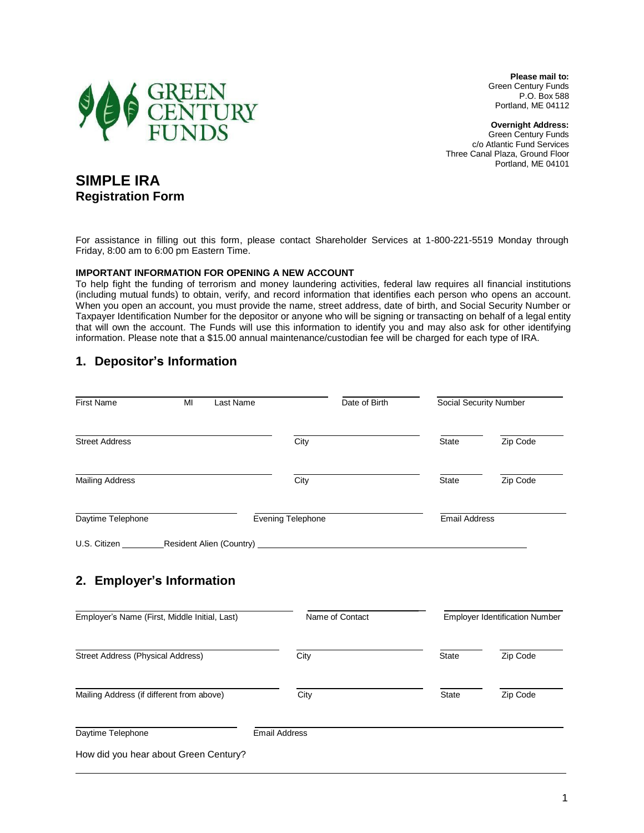

**Please mail to:**  Green Century Funds P.O. Box 588 Portland, ME 04112

**Overnight Address:** Green Century Funds c/o Atlantic Fund Services Three Canal Plaza, Ground Floor Portland, ME 04101

# **SIMPLE IRA Registration Form**

For assistance in filling out this form, please contact Shareholder Services at 1-800-221-5519 Monday through Friday, 8:00 am to 6:00 pm Eastern Time.

#### **IMPORTANT INFORMATION FOR OPENING A NEW ACCOUNT**

To help fight the funding of terrorism and money laundering activities, federal law requires all financial institutions (including mutual funds) to obtain, verify, and record information that identifies each person who opens an account. When you open an account, you must provide the name, street address, date of birth, and Social Security Number or Taxpayer Identification Number for the depositor or anyone who will be signing or transacting on behalf of a legal entity that will own the account. The Funds will use this information to identify you and may also ask for other identifying information. Please note that a \$15.00 annual maintenance/custodian fee will be charged for each type of IRA.

#### **1. Depositor's Information**

| <b>First Name</b><br>MI<br>Last Name          | Date of Birth        |                      | Social Security Number                |
|-----------------------------------------------|----------------------|----------------------|---------------------------------------|
| <b>Street Address</b>                         | City                 | <b>State</b>         | Zip Code                              |
| <b>Mailing Address</b>                        | City                 | <b>State</b>         | Zip Code                              |
| Daytime Telephone                             | Evening Telephone    | <b>Email Address</b> |                                       |
|                                               |                      |                      |                                       |
| 2. Employer's Information                     |                      |                      |                                       |
| Employer's Name (First, Middle Initial, Last) | Name of Contact      |                      | <b>Employer Identification Number</b> |
| <b>Street Address (Physical Address)</b>      | City                 | <b>State</b>         | Zip Code                              |
| Mailing Address (if different from above)     | City                 | <b>State</b>         | Zip Code                              |
| Daytime Telephone                             | <b>Email Address</b> |                      |                                       |
| How did you hear about Green Century?         |                      |                      |                                       |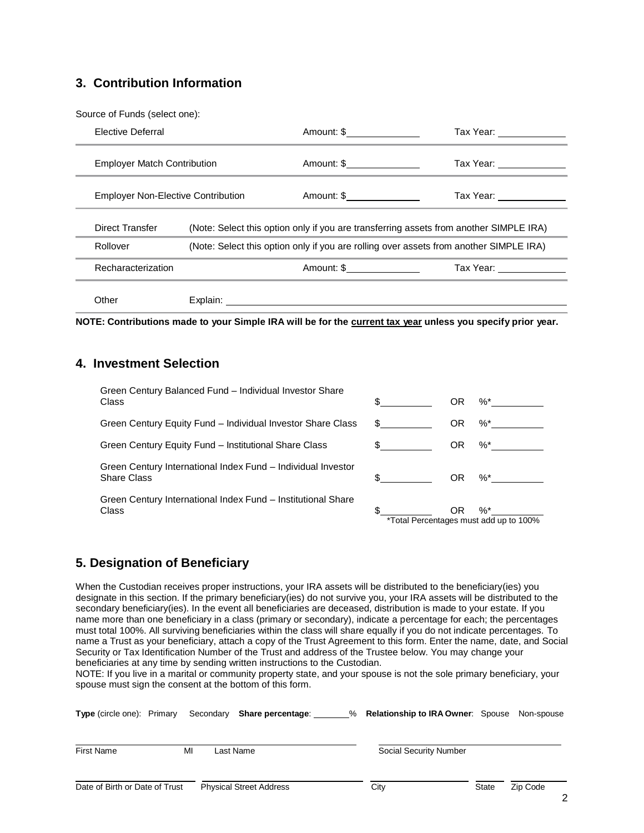# **3. Contribution Information**

Source of Funds (select one):

| Elective Deferral                         |          | Amount: \$ | Tax Year: ____________                                                                 |
|-------------------------------------------|----------|------------|----------------------------------------------------------------------------------------|
| <b>Employer Match Contribution</b>        |          | Amount: \$ | Tax Year: <u>__________</u>                                                            |
| <b>Employer Non-Elective Contribution</b> |          | Amount: \$ | Tax Year: Tax Search                                                                   |
| Direct Transfer                           |          |            | (Note: Select this option only if you are transferring assets from another SIMPLE IRA) |
| Rollover                                  |          |            | (Note: Select this option only if you are rolling over assets from another SIMPLE IRA) |
| Recharacterization                        |          | Amount: \$ | Tax Year: ___________                                                                  |
| Other                                     | Explain: |            |                                                                                        |

NOTE: Contributions made to your Simple IRA will be for the current tax year unless you specify prior year.

#### **4. Investment Selection**

| Green Century Balanced Fund - Individual Investor Share<br>Class                   | \$  | OR  | $\%^*$                                       |
|------------------------------------------------------------------------------------|-----|-----|----------------------------------------------|
| Green Century Equity Fund – Individual Investor Share Class                        | \$  | 0R  | %*                                           |
| Green Century Equity Fund - Institutional Share Class                              |     | OR. | %*                                           |
| Green Century International Index Fund - Individual Investor<br><b>Share Class</b> | \$  | OR. | $\%^{*}$                                     |
| Green Century International Index Fund - Institutional Share<br>Class              | \$. | OR  | %*<br>*Total Percentages must add up to 100% |

### **5. Designation of Beneficiary**

When the Custodian receives proper instructions, your IRA assets will be distributed to the beneficiary(ies) you designate in this section. If the primary beneficiary(ies) do not survive you, your IRA assets will be distributed to the secondary beneficiary(ies). In the event all beneficiaries are deceased, distribution is made to your estate. If you name more than one beneficiary in a class (primary or secondary), indicate a percentage for each; the percentages must total 100%. All surviving beneficiaries within the class will share equally if you do not indicate percentages. To name a Trust as your beneficiary, attach a copy of the Trust Agreement to this form. Enter the name, date, and Social Security or Tax Identification Number of the Trust and address of the Trustee below. You may change your beneficiaries at any time by sending written instructions to the Custodian.

NOTE: If you live in a marital or community property state, and your spouse is not the sole primary beneficiary, your spouse must sign the consent at the bottom of this form.

| <b>Type</b> (circle one): Primary |    | Secondary Share percentage:    | % | <b>Relationship to IRA Owner:</b> Spouse Non-spouse |       |          |
|-----------------------------------|----|--------------------------------|---|-----------------------------------------------------|-------|----------|
| <b>First Name</b>                 | MI | Last Name                      |   | Social Security Number                              |       |          |
| Date of Birth or Date of Trust    |    | <b>Physical Street Address</b> |   | City                                                | State | Zip Code |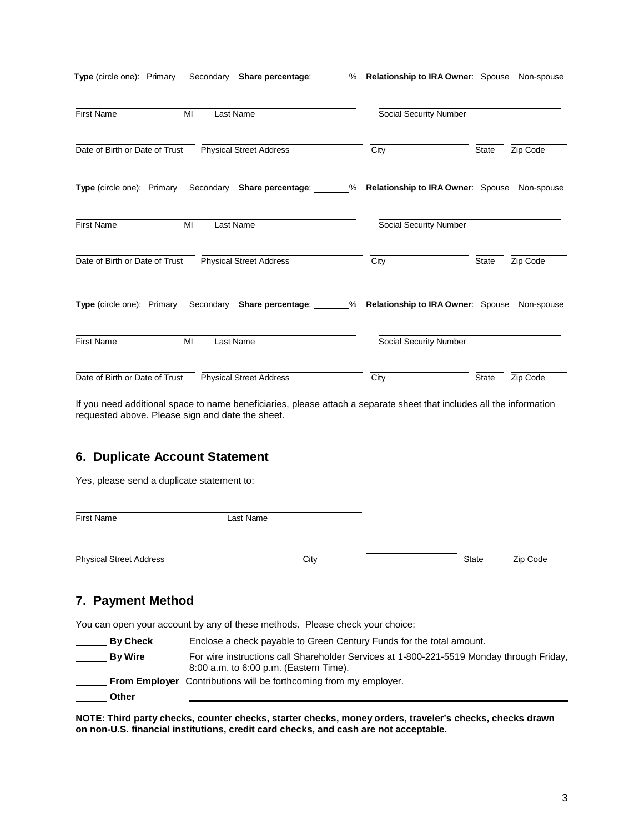| Secondary Share percentage: ______% Relationship to IRA Owner: Spouse Non-spouse<br><b>Type</b> (circle one): Primary |                        |              |          |
|-----------------------------------------------------------------------------------------------------------------------|------------------------|--------------|----------|
| <b>First Name</b><br>MI<br>Last Name                                                                                  | Social Security Number |              |          |
| Date of Birth or Date of Trust<br><b>Physical Street Address</b>                                                      | City                   | State        | Zip Code |
| Secondary Share percentage: ______% Relationship to IRA Owner: Spouse Non-spouse<br><b>Type</b> (circle one): Primary |                        |              |          |
| <b>First Name</b><br>MI<br>Last Name                                                                                  | Social Security Number |              |          |
| Date of Birth or Date of Trust<br><b>Physical Street Address</b>                                                      | City                   | <b>State</b> | Zip Code |
| Secondary Share percentage: ______% Relationship to IRA Owner: Spouse Non-spouse<br><b>Type</b> (circle one): Primary |                        |              |          |
| First Name<br>MI<br>Last Name                                                                                         | Social Security Number |              |          |
| Date of Birth or Date of Trust<br><b>Physical Street Address</b>                                                      | City                   | <b>State</b> | Zip Code |

If you need additional space to name beneficiaries, please attach a separate sheet that includes all the information requested above. Please sign and date the sheet.

## **6. Duplicate Account Statement**

Yes, please send a duplicate statement to:

| First Name                     | Last Name |      |       |          |
|--------------------------------|-----------|------|-------|----------|
|                                |           |      |       |          |
| <b>Physical Street Address</b> |           | City | State | Zip Code |

# **7. Payment Method**

You can open your account by any of these methods. Please check your choice:

| <b>By Check</b> | Enclose a check payable to Green Century Funds for the total amount.                                                               |
|-----------------|------------------------------------------------------------------------------------------------------------------------------------|
| <b>By Wire</b>  | For wire instructions call Shareholder Services at 1-800-221-5519 Monday through Friday.<br>8:00 a.m. to 6:00 p.m. (Eastern Time). |
|                 | <b>From Employer</b> Contributions will be forthcoming from my employer.                                                           |
| Other           |                                                                                                                                    |

**NOTE: Third party checks, counter checks, starter checks, money orders, traveler's checks, checks drawn on non-U.S. financial institutions, credit card checks, and cash are not acceptable.**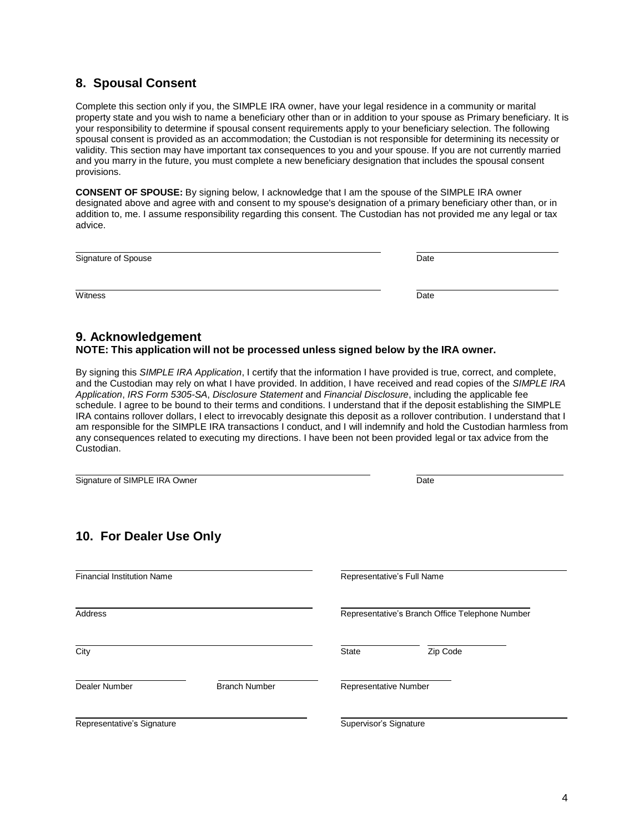### **8. Spousal Consent**

Complete this section only if you, the SIMPLE IRA owner, have your legal residence in a community or marital property state and you wish to name a beneficiary other than or in addition to your spouse as Primary beneficiary. It is your responsibility to determine if spousal consent requirements apply to your beneficiary selection. The following spousal consent is provided as an accommodation; the Custodian is not responsible for determining its necessity or validity. This section may have important tax consequences to you and your spouse. If you are not currently married and you marry in the future, you must complete a new beneficiary designation that includes the spousal consent provisions.

**CONSENT OF SPOUSE:** By signing below, I acknowledge that I am the spouse of the SIMPLE IRA owner designated above and agree with and consent to my spouse's designation of a primary beneficiary other than, or in addition to, me. I assume responsibility regarding this consent. The Custodian has not provided me any legal or tax advice.

| Signature of Spouse | Date |  |
|---------------------|------|--|
| Witness             | Date |  |

#### **9. Acknowledgement NOTE: This application will not be processed unless signed below by the IRA owner.**

By signing this *SIMPLE IRA Application*, I certify that the information I have provided is true, correct, and complete, and the Custodian may rely on what I have provided. In addition, I have received and read copies of the *SIMPLE IRA Application*, *IRS Form 5305-SA*, *Disclosure Statement* and *Financial Disclosure*, including the applicable fee schedule. I agree to be bound to their terms and conditions. I understand that if the deposit establishing the SIMPLE IRA contains rollover dollars, I elect to irrevocably designate this deposit as a rollover contribution. I understand that I am responsible for the SIMPLE IRA transactions I conduct, and I will indemnify and hold the Custodian harmless from any consequences related to executing my directions. I have been not been provided legal or tax advice from the Custodian.

Signature of SIMPLE IRA Owner **Date** Date of SIMPLE IRA Owner **Date** 

# **10. For Dealer Use Only**

| <b>Financial Institution Name</b> |                      | Representative's Full Name                      |          |  |
|-----------------------------------|----------------------|-------------------------------------------------|----------|--|
| Address                           |                      | Representative's Branch Office Telephone Number |          |  |
| City                              |                      | <b>State</b>                                    | Zip Code |  |
| Dealer Number                     | <b>Branch Number</b> | <b>Representative Number</b>                    |          |  |
| Representative's Signature        |                      | Supervisor's Signature                          |          |  |